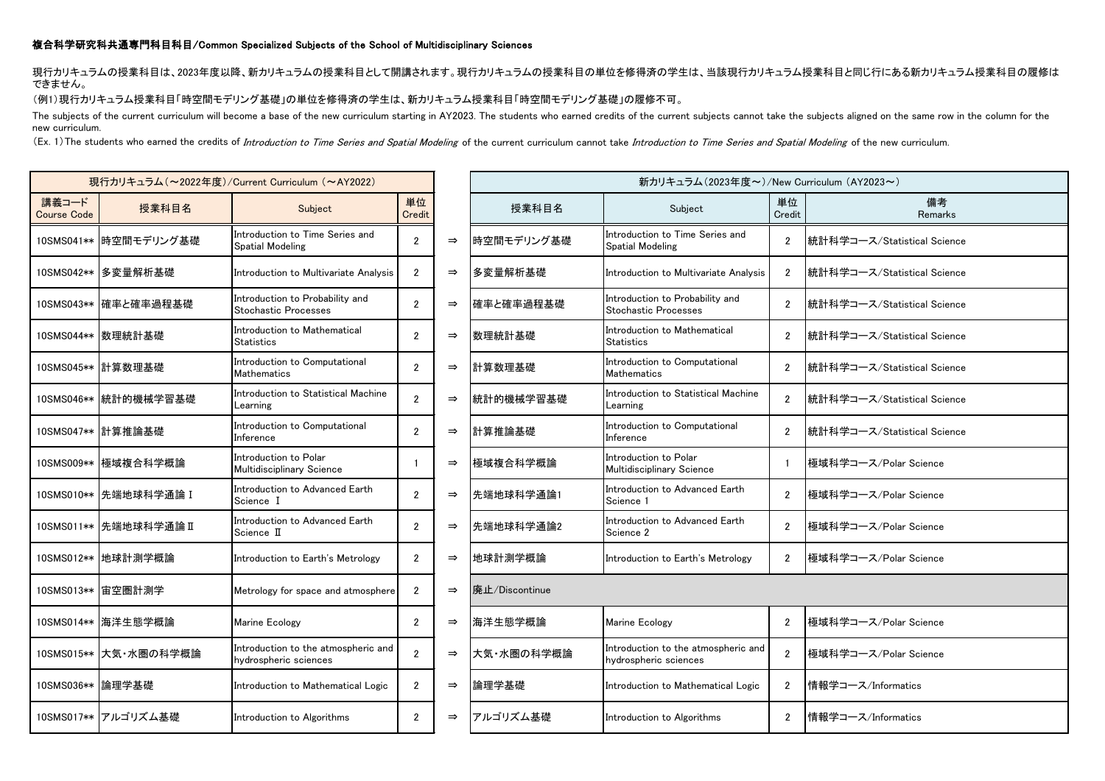## 複合科学研究科共通専門科目科目/Common Specialized Subjects of the School of Multidisciplinary Sciences

現行カリキュラムの授業科目は、2023年度以降、新カリキュラムの授業科目として開講されます。現行カリキュラムの授業科目の単位を修得済の学生は、当該現行カリキュラム授業科目と同じ行にある新カリキュラム授業科目の履修は できません。

(例1)現行カリキュラム授業科目「時空間モデリング基礎」の単位を修得済の学生は、新カリキュラム授業科目「時空間モデリング基礎」の履修不可。

The subjects of the current curriculum will become a base of the new curriculum starting in AY2023. The students who earned credits of the current subjects cannot take the subjects aligned on the same row in the column for new curriculum.

(Ex. 1) The students who earned the credits of Introduction to Time Series and Spatial Modeling of the current curriculum cannot take Introduction to Time Series and Spatial Modeling of the new curriculum.

| 現行カリキュラム (~2022年度)/Current Curriculum (~AY2022) |                         |                                                              |                |   |  |  |  |  |
|-------------------------------------------------|-------------------------|--------------------------------------------------------------|----------------|---|--|--|--|--|
| 講義コード<br><b>Course Code</b>                     | 授業科目名                   | 単位<br>Credit                                                 |                |   |  |  |  |  |
| 10SMS041**                                      | 時空間モデリング基礎              | Introduction to Time Series and<br><b>Spatial Modeling</b>   | $\overline{2}$ |   |  |  |  |  |
| 10SMS042**                                      | 多変量解析基礎                 | Introduction to Multivariate Analysis                        | $\overline{2}$ |   |  |  |  |  |
| 10SMS043**                                      | 確率と確率過程基礎               | Introduction to Probability and<br>Stochastic Processes      | $\overline{2}$ |   |  |  |  |  |
| 10SMS044**                                      | 数理統計基礎                  | Introduction to Mathematical<br><b>Statistics</b>            | 2              |   |  |  |  |  |
|                                                 | 10SMS045** 計算数理基礎       | Introduction to Computational<br><b>Mathematics</b>          | $\overline{c}$ |   |  |  |  |  |
|                                                 | 10SMS046** 統計的機械学習基礎    | Introduction to Statistical Machine<br>Learning              | $\overline{2}$ |   |  |  |  |  |
| 10SMS047**                                      | 計算推論基礎                  | Introduction to Computational<br>Inference                   | $\overline{2}$ |   |  |  |  |  |
| 10SMS009**                                      | 極域複合科学概論                | Introduction to Polar<br>Multidisciplinary Science           | 1              | ⇒ |  |  |  |  |
|                                                 | 10SMS010**   先端地球科学通論 I | Introduction to Advanced Earth<br>Science I                  | 2              |   |  |  |  |  |
|                                                 | 10SMS011**  先端地球科学通論 II | Introduction to Advanced Earth<br>Science II                 | $\overline{c}$ |   |  |  |  |  |
| 10SMS012**                                      | 地球計測学概論                 | Introduction to Earth's Metrology                            | $\overline{2}$ |   |  |  |  |  |
| 10SMS013**                                      | 宙空圏計測学                  | Metrology for space and atmosphere                           | $\overline{2}$ |   |  |  |  |  |
|                                                 | 10SMS014** 海洋生態学概論      | Marine Ecology                                               | $\overline{2}$ |   |  |  |  |  |
|                                                 | 10SMS015** 大気·水圏の科学概論   | Introduction to the atmospheric and<br>hydrospheric sciences | $\overline{2}$ |   |  |  |  |  |
| 10SMS036**                                      | 論理学基礎                   | Introduction to Mathematical Logic                           | 2              |   |  |  |  |  |
|                                                 | 10SMS017**  アルゴリズム基礎    | Introduction to Algorithms                                   | 2              |   |  |  |  |  |

| 現行カリキュラム (~2022年度)/Current Curriculum (~AY2022) |                        |                                                              |                |               | 新カリキュラム (2023年度~)/New Curriculum (AY2023~) |                                                                |                |                             |  |
|-------------------------------------------------|------------------------|--------------------------------------------------------------|----------------|---------------|--------------------------------------------|----------------------------------------------------------------|----------------|-----------------------------|--|
| 講義コード<br><b>Course Code</b>                     | 授業科目名                  | Subject                                                      | 単位<br>Credit   |               | 授業科目名                                      | Subject                                                        | 単位<br>Credit   | 備考<br>Remarks               |  |
|                                                 | 10SMS041** 時空間モデリング基礎  | Introduction to Time Series and<br>Spatial Modeling          | $\overline{2}$ | $\Rightarrow$ | 時空間モデリング基礎                                 | Introduction to Time Series and<br>Spatial Modeling            | $\overline{2}$ | 統計科学コース/Statistical Science |  |
|                                                 | 10SMS042**  多変量解析基礎    | Introduction to Multivariate Analysis                        | $\overline{2}$ | $\Rightarrow$ | 多変量解析基礎                                    | Introduction to Multivariate Analysis                          | $\mathbf{2}$   | 統計科学コース/Statistical Science |  |
|                                                 | 10SMS043** 確率と確率過程基礎   | Introduction to Probability and<br>Stochastic Processes      | $\overline{2}$ | $\Rightarrow$ | 確率と確率過程基礎                                  | Introduction to Probability and<br><b>Stochastic Processes</b> | $\overline{2}$ | 統計科学コース/Statistical Science |  |
|                                                 | 10SMS044** 数理統計基礎      | Introduction to Mathematical<br>Statistics                   | $\overline{2}$ | $\Rightarrow$ | 数理統計基礎                                     | Introduction to Mathematical<br><b>Statistics</b>              | $\overline{2}$ | 統計科学コース/Statistical Science |  |
|                                                 | 10SMS045** 計算数理基礎      | Introduction to Computational<br>Mathematics                 | $\overline{2}$ | $\Rightarrow$ | 計算数理基礎                                     | Introduction to Computational<br>Mathematics                   | $\overline{2}$ | 統計科学コース/Statistical Science |  |
| 10SMS046**                                      | 統計的機械学習基礎              | Introduction to Statistical Machine<br>Learning              | $\overline{2}$ | $\Rightarrow$ | 統計的機械学習基礎                                  | Introduction to Statistical Machine<br>Learning                | $\overline{2}$ | 統計科学コース/Statistical Science |  |
|                                                 | 10SMS047** 計算推論基礎      | Introduction to Computational<br>Inference                   | $\overline{2}$ | $\Rightarrow$ | 計算推論基礎                                     | Introduction to Computational<br>Inference                     | $\overline{2}$ | 統計科学コース/Statistical Science |  |
|                                                 | 10SMS009** 極域複合科学概論    | Introduction to Polar<br>Multidisciplinary Science           | -1             | $\Rightarrow$ | 極域複合科学概論                                   | Introduction to Polar<br>Multidisciplinary Science             | $\mathbf{1}$   | 極域科学コース/Polar Science       |  |
|                                                 | 10SMS010** 先端地球科学通論 I  | Introduction to Advanced Earth<br>Science I                  | $\overline{2}$ | $\Rightarrow$ | 先端地球科学通論1                                  | Introduction to Advanced Earth<br>Science 1                    | $\overline{2}$ | 極域科学コース/Polar Science       |  |
|                                                 | 10SMS011** 先端地球科学通論 II | Introduction to Advanced Earth<br>Science II                 | $\overline{2}$ | $\Rightarrow$ | 先端地球科学通論2                                  | Introduction to Advanced Earth<br>Science 2                    | $\mathbf{2}$   | 極域科学コース/Polar Science       |  |
|                                                 | 10SMS012** 地球計測学概論     | Introduction to Earth's Metrology                            | $\overline{2}$ | $\Rightarrow$ | 地球計測学概論                                    | Introduction to Earth's Metrology                              | $\overline{2}$ | 極域科学コース/Polar Science       |  |
|                                                 | 10SMS013**  宙空圏計測学     | Metrology for space and atmosphere                           | $\overline{2}$ | $\Rightarrow$ | 廃止/Discontinue                             |                                                                |                |                             |  |
|                                                 | 10SMS014**  海洋生態学概論    | Marine Ecology                                               | $\overline{2}$ | $\Rightarrow$ | 海洋生態学概論                                    | Marine Ecology                                                 | $\overline{2}$ | 極域科学コース/Polar Science       |  |
|                                                 | 10SMS015** 大気·水圏の科学概論  | Introduction to the atmospheric and<br>hydrospheric sciences | $\overline{2}$ | $\Rightarrow$ | 大気・水圏の科学概論                                 | Introduction to the atmospheric and<br>hydrospheric sciences   | $\overline{2}$ | 極域科学コース/Polar Science       |  |
| 10SMS036**  論理学基礎                               |                        | Introduction to Mathematical Logic                           | $\overline{2}$ | $\Rightarrow$ | 論理学基礎                                      | Introduction to Mathematical Logic                             | $\overline{2}$ | 情報学コース/Informatics          |  |
|                                                 | 10SMS017** アルゴリズム基礎    | Introduction to Algorithms                                   | $\mathbf{2}$   | $\Rightarrow$ | アルゴリズム基礎                                   | Introduction to Algorithms                                     | $\overline{2}$ | 情報学コース/Informatics          |  |